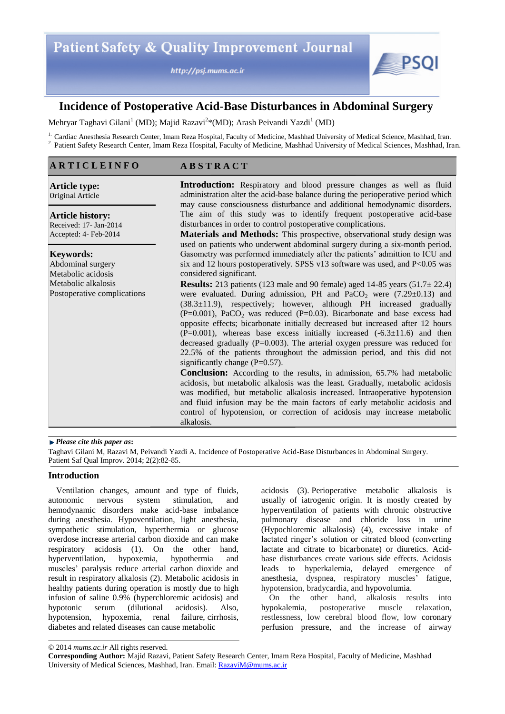http://psj.mums.ac.ir



# **Incidence of Postoperative Acid-Base Disturbances in Abdominal Surgery**

Mehryar Taghavi Gilani<sup>1</sup> (MD); Majid Razavi<sup>2</sup>\*(MD); Arash Peivandi Yazdi<sup>1</sup> (MD)

<sup>1.</sup> Cardiac Anesthesia Research Center, Imam Reza Hospital, Faculty of Medicine, Mashhad University of Medical Science, Mashhad, Iran. <sup>2.</sup> Patient Safety Research Center, Imam Reza Hospital, Faculty of Medicine, Mashhad University of Medical Sciences, Mashhad, Iran.

# **A R T I C L E I N F O**

**A B S T R A C T**

**Article type:**  Original Article

**Article history:**  Received: 17- Jan-2014 Accepted: 4- Feb-2014

## **Keywords:**

Abdominal surgery Metabolic acidosis Metabolic alkalosis Postoperative complications **Introduction:** Respiratory and blood pressure changes as well as fluid administration alter the acid-base balance during the perioperative period which may cause consciousness disturbance and additional hemodynamic disorders. The aim of this study was to identify frequent postoperative acid-base disturbances in order to control postoperative complications.

**Materials and Methods:** This prospective, observational study design was used on patients who underwent abdominal surgery during a six-month period. Gasometry was performed immediately after the patients' admittion to ICU and six and 12 hours postoperatively. SPSS v13 software was used, and  $P<0.05$  was considered significant.

**Results:** 213 patients (123 male and 90 female) aged  $14-85$  years ( $51.7\pm 22.4$ ) were evaluated. During admission, PH and  $PaCO<sub>2</sub>$  were (7.29±0.13) and  $(38.3\pm11.9)$ , respectively; however, although PH increased gradually  $(P=0.001)$ , PaCO<sub>2</sub> was reduced  $(P=0.03)$ . Bicarbonate and base excess had opposite effects; bicarbonate initially decreased but increased after 12 hours  $(P=0.001)$ , whereas base excess initially increased  $(-6.3 \pm 11.6)$  and then decreased gradually ( $P=0.003$ ). The arterial oxygen pressure was reduced for 22.5% of the patients throughout the admission period, and this did not significantly change  $(P=0.57)$ .

**Conclusion:** According to the results, in admission, 65.7% had metabolic acidosis, but metabolic alkalosis was the least. Gradually, metabolic acidosis was modified, but metabolic alkalosis increased. Intraoperative hypotension and fluid infusion may be the main factors of early metabolic acidosis and control of hypotension, or correction of acidosis may increase metabolic alkalosis.

#### *Please cite this paper as***:**

Taghavi Gilani M, Razavi M, Peivandi Yazdi A. Incidence of Postoperative Acid-Base Disturbances in Abdominal Surgery. Patient Saf Qual Improv. 2014; 2(2):82-85.

# **Introduction**

Ventilation changes, amount and type of fluids, autonomic nervous system stimulation, and hemodynamic disorders make acid-base imbalance during anesthesia. Hypoventilation, light anesthesia, sympathetic stimulation, hyperthermia or glucose overdose increase arterial carbon dioxide and can make respiratory acidosis (1). On the other hand, hyperventilation, hypoxemia, hypothermia and muscles' paralysis reduce arterial carbon dioxide and result in respiratory alkalosis (2). Metabolic acidosis in healthy patients during operation is mostly due to high infusion of saline 0.9% (hyperchloremic acidosis) and hypotonic serum (dilutional acidosis). Also, hypotension, hypoxemia, renal failure, cirrhosis, diabetes and related diseases can cause metabolic

acidosis (3). Perioperative metabolic alkalosis is usually of iatrogenic origin. It is mostly created by hyperventilation of patients with chronic obstructive pulmonary disease and chloride loss in urine (Hypochloremic alkalosis) (4), excessive intake of lactated ringer's solution or citrated blood (converting lactate and citrate to bicarbonate) or diuretics. Acidbase disturbances create various side effects. Acidosis leads to hyperkalemia, delayed emergence of anesthesia, dyspnea, respiratory muscles' fatigue, hypotension, bradycardia, and hypovolumia.

On the other hand, alkalosis results into hypokalemia, postoperative muscle relaxation, restlessness, low cerebral blood flow, low coronary perfusion pressure, and the increase of airway

<sup>© 2014</sup> *mums.ac.ir* All rights reserved.

**Corresponding Author:** Majid Razavi, Patient Safety Research Center, Imam Reza Hospital, Faculty of Medicine, Mashhad University of Medical Sciences, Mashhad, Iran. Email: RazaviM@mums.ac.ir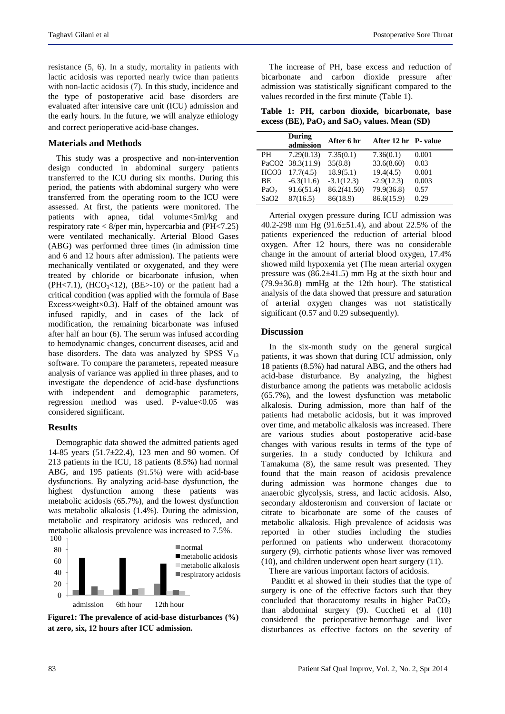resistance (5, 6). In a study, mortality in patients with lactic acidosis was reported nearly twice than patients with non-lactic acidosis (7). In this study, incidence and the type of postoperative acid base disorders are evaluated after intensive care unit (ICU) admission and the early hours. In the future, we will analyze ethiology and correct perioperative acid-base changes.

## **Materials and Methods**

This study was a prospective and non-intervention design conducted in abdominal surgery patients transferred to the ICU during six months. During this period, the patients with abdominal surgery who were transferred from the operating room to the ICU were assessed. At first, the patients were monitored. The patients with apnea, tidal volume<5ml/kg and respiratory rate < 8/per min, hypercarbia and (PH<7.25) were ventilated mechanically. Arterial Blood Gases (ABG) was performed three times (in admission time and 6 and 12 hours after admission). The patients were mechanically ventilated or oxygenated, and they were treated by chloride or bicarbonate infusion, when (PH<7.1), (HCO<sub>3</sub><12), (BE>-10) or the patient had a critical condition (was applied with the formula of Base Excess $\times$ weight $\times$ 0.3). Half of the obtained amount was infused rapidly, and in cases of the lack of modification, the remaining bicarbonate was infused after half an hour (6). The serum was infused according to hemodynamic changes, concurrent diseases, acid and base disorders. The data was analyzed by SPSS  $V_{13}$ software. To compare the parameters, repeated measure analysis of variance was applied in three phases, and to investigate the dependence of acid-base dysfunctions with independent and demographic parameters, regression method was used. P-value $< 0.05$  was considered significant.

#### **Results**

Demographic data showed the admitted patients aged 14-85 years (51.7±22.4), 123 men and 90 women. Of 213 patients in the ICU, 18 patients (8.5%) had normal ABG, and 195 patients (91.5%) were with acid-base dysfunctions. By analyzing acid-base dysfunction, the highest dysfunction among these patients was metabolic acidosis (65.7%), and the lowest dysfunction was metabolic alkalosis (1.4%). During the admission, metabolic and respiratory acidosis was reduced, and metabolic alkalosis prevalence was increased to 7.5%.



**Figure1: The prevalence of acid-base disturbances (%) at zero, six, 12 hours after ICU admission.**

The increase of PH, base excess and reduction of bicarbonate and carbon dioxide pressure after admission was statistically significant compared to the values recorded in the first minute (Table 1).

**Table 1: PH, carbon dioxide, bicarbonate, base excess (BE), PaO<sup>2</sup> and SaO<sup>2</sup> values. Mean (SD)**

|                  | During<br>admission | After 6 hr   | After 12 hr P- value |       |
|------------------|---------------------|--------------|----------------------|-------|
| PH.              | 7.29(0.13)          | 7.35(0.1)    | 7.36(0.1)            | 0.001 |
|                  | PaCO2 38.3(11.9)    | 35(8.8)      | 33.6(8.60)           | 0.03  |
| HCO <sub>3</sub> | 17.7(4.5)           | 18.9(5.1)    | 19.4(4.5)            | 0.001 |
| BE.              | $-6.3(11.6)$        | $-3.1(12.3)$ | $-2.9(12.3)$         | 0.003 |
| PaO <sub>2</sub> | 91.6(51.4)          | 86.2(41.50)  | 79.9(36.8)           | 0.57  |
| SaO2             | 87(16.5)            | 86(18.9)     | 86.6(15.9)           | 0.29  |

Arterial oxygen pressure during ICU admission was 40.2-298 mm Hg (91.6±51.4), and about 22.5% of the patients experienced the reduction of arterial blood oxygen. After 12 hours, there was no considerable change in the amount of arterial blood oxygen, 17.4% showed mild hypoxemia yet (The mean arterial oxygen pressure was  $(86.2 \pm 41.5)$  mm Hg at the sixth hour and  $(79.9\pm36.8)$  mmHg at the 12th hour). The statistical analysis of the data showed that pressure and saturation of arterial oxygen changes was not statistically significant (0.57 and 0.29 subsequently).

### **Discussion**

In the six-month study on the general surgical patients, it was shown that during ICU admission, only 18 patients (8.5%) had natural ABG, and the others had acid-base disturbance. By analyzing, the highest disturbance among the patients was metabolic acidosis (65.7%), and the lowest dysfunction was metabolic alkalosis. During admission, more than half of the patients had metabolic acidosis, but it was improved over time, and metabolic alkalosis was increased. There are various studies about postoperative acid-base changes with various results in terms of the type of surgeries. In a study conducted by Ichikura and Tamakuma (8), the same result was presented. They found that the main reason of acidosis prevalence during admission was hormone changes due to anaerobic glycolysis, stress, and lactic acidosis. Also, secondary aldosteronism and conversion of lactate or citrate to bicarbonate are some of the causes of metabolic alkalosis. High prevalence of acidosis was reported in other studies including the studies performed on patients who underwent thoracotomy surgery (9), cirrhotic patients whose liver was removed (10), and children underwent open heart surgery (11).

There are various important factors of acidosis.

Panditt et al showed in their studies that the type of surgery is one of the effective factors such that they concluded that thoracotomy results in higher  $PaCO<sub>2</sub>$ than abdominal surgery (9). Cuccheti et al (10) considered the perioperative hemorrhage and liver disturbances as effective factors on the severity of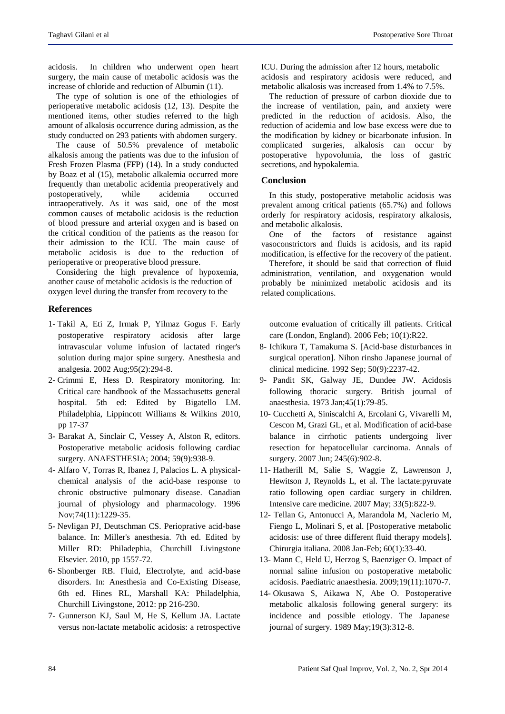acidosis. In children who underwent open heart surgery, the main cause of metabolic acidosis was the increase of chloride and reduction of Albumin (11).

The type of solution is one of the ethiologies of perioperative metabolic acidosis (12, 13). Despite the mentioned items, other studies referred to the high amount of alkalosis occurrence during admission, as the study conducted on 293 patients with abdomen surgery.

The cause of 50.5% prevalence of metabolic alkalosis among the patients was due to the infusion of Fresh Frozen Plasma (FFP) (14). In a study conducted by Boaz et al (15), metabolic alkalemia occurred more frequently than metabolic acidemia preoperatively and postoperatively, while acidemia occurred intraoperatively. As it was said, one of the most common causes of metabolic acidosis is the reduction of blood pressure and arterial oxygen and is based on the critical condition of the patients as the reason for their admission to the ICU. The main cause of metabolic acidosis is due to the reduction of perioperative or preoperative blood pressure.

Considering the high prevalence of hypoxemia, another cause of metabolic acidosis is the reduction of oxygen level during the transfer from recovery to the

# **References**

- 1- Takil A, Eti Z, Irmak P, Yilmaz Gogus F. Early postoperative respiratory acidosis after large intravascular volume infusion of lactated ringer's solution during major spine surgery. Anesthesia and analgesia. 2002 Aug;95(2):294-8.
- 2- Crimmi E, Hess D. Respiratory monitoring. In: Critical care handbook of the Massachusetts general hospital. 5th ed: Edited by Bigatello LM. Philadelphia, Lippincott Williams & Wilkins 2010, pp 17-37
- 3- Barakat A, Sinclair C, Vessey A, Alston R, editors. Postoperative metabolic acidosis following cardiac surgery. ANAESTHESIA; 2004; 59(9):938-9.
- 4- Alfaro V, Torras R, Ibanez J, Palacios L. A physicalchemical analysis of the acid-base response to chronic obstructive pulmonary disease. Canadian journal of physiology and pharmacology. 1996 Nov;74(11):1229-35.
- 5- Nevligan PJ, Deutschman CS. Perioprative acid-base balance. In: Miller's anesthesia. 7th ed. Edited by Miller RD: Philadephia, Churchill Livingstone Elsevier. 2010, pp 1557-72.
- 6- Shonberger RB. Fluid, Electrolyte, and acid-base disorders. In: Anesthesia and Co-Existing Disease, 6th ed. Hines RL, Marshall KA: Philadelphia, Churchill Livingstone, 2012: pp 216-230.
- 7- Gunnerson KJ, Saul M, He S, Kellum JA. Lactate versus non-lactate metabolic acidosis: a retrospective

ICU. During the admission after 12 hours, metabolic acidosis and respiratory acidosis were reduced, and metabolic alkalosis was increased from 1.4% to 7.5%.

The reduction of pressure of carbon dioxide due to the increase of ventilation, pain, and anxiety were predicted in the reduction of acidosis. Also, the reduction of acidemia and low base excess were due to the modification by kidney or bicarbonate infusion. In complicated surgeries, alkalosis can occur by postoperative hypovolumia, the loss of gastric secretions, and hypokalemia.

## **Conclusion**

In this study, postoperative metabolic acidosis was prevalent among critical patients (65.7%) and follows orderly for respiratory acidosis, respiratory alkalosis, and metabolic alkalosis.

One of the factors of resistance against vasoconstrictors and fluids is acidosis, and its rapid modification, is effective for the recovery of the patient.

Therefore, it should be said that correction of fluid administration, ventilation, and oxygenation would probably be minimized metabolic acidosis and its related complications.

outcome evaluation of critically ill patients. Critical care (London, England). 2006 Feb; 10(1):R22.

- 8- Ichikura T, Tamakuma S. [Acid-base disturbances in surgical operation]. Nihon rinsho Japanese journal of clinical medicine. 1992 Sep; 50(9):2237-42.
- 9- Pandit SK, Galway JE, Dundee JW. Acidosis following thoracic surgery. British journal of anaesthesia. 1973 Jan;45(1):79-85.
- 10- Cucchetti A, Siniscalchi A, Ercolani G, Vivarelli M, Cescon M, Grazi GL, et al. Modification of acid-base balance in cirrhotic patients undergoing liver resection for hepatocellular carcinoma. Annals of surgery. 2007 Jun; 245(6):902-8.
- 11- Hatherill M, Salie S, Waggie Z, Lawrenson J, Hewitson J, Reynolds L, et al. The lactate:pyruvate ratio following open cardiac surgery in children. Intensive care medicine. 2007 May; 33(5):822-9.
- 12- Tellan G, Antonucci A, Marandola M, Naclerio M, Fiengo L, Molinari S, et al. [Postoperative metabolic acidosis: use of three different fluid therapy models]. Chirurgia italiana. 2008 Jan-Feb; 60(1):33-40.
- 13- Mann C, Held U, Herzog S, Baenziger O. Impact of normal saline infusion on postoperative metabolic acidosis. Paediatric anaesthesia. 2009;19(11):1070-7.
- 14- Okusawa S, Aikawa N, Abe O. Postoperative metabolic alkalosis following general surgery: its incidence and possible etiology. The Japanese journal of surgery. 1989 May;19(3):312-8.